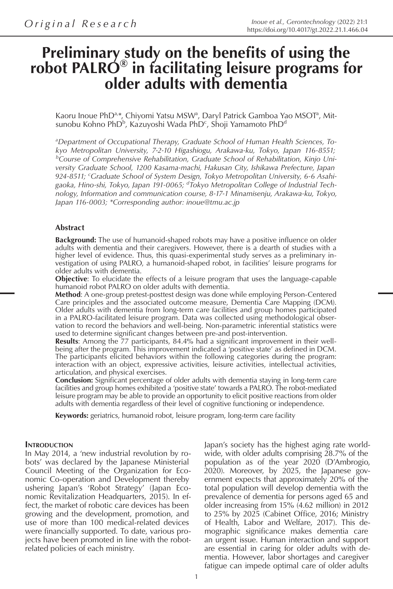# **Preliminary study on the benefits of using the robot PALRO® in facilitating leisure programs for older adults with dementia**

Kaoru Inoue PhD<sup>a,\*</sup>, Chiyomi Yatsu MSW<sup>a</sup>, Daryl Patrick Gamboa Yao MSOT<sup>a</sup>, Mitsunobu Kohno PhD<sup>b</sup>, Kazuyoshi Wada PhD<sup>c</sup>, Shoji Yamamoto PhD<sup>d</sup>

*a Department of Occupational Therapy, Graduate School of Human Health Sciences, Tokyo Metropolitan University, 7-2-10 Higashiogu, Arakawa-ku, Tokyo, Japan 116-8551; b Course of Comprehensive Rehabilitation, Graduate School of Rehabilitation, Kinjo University Graduate School, 1200 Kasama-machi, Hakusan City, Ishikawa Prefecture, Japan 924-8511; <sup>c</sup> Graduate School of System Design, Tokyo Metropolitan University, 6-6 Asahigaoka, Hino-shi, Tokyo, Japan 191-0065; <sup>d</sup> Tokyo Metropolitan College of Industrial Technology, Information and communication course, 8-17-1 Minamisenju, Arakawa-ku, Tokyo, Japan 116-0003; \*Corresponding author: inoue@tmu.ac.jp*

#### **Abstract**

**Background:** The use of humanoid-shaped robots may have a positive influence on older adults with dementia and their caregivers. However, there is a dearth of studies with a higher level of evidence. Thus, this quasi-experimental study serves as a preliminary investigation of using PALRO, a humanoid-shaped robot, in facilities' leisure programs for older adults with dementia.

**Objective**: To elucidate the effects of a leisure program that uses the language-capable humanoid robot PALRO on older adults with dementia.

**Method**: A one-group pretest-posttest design was done while employing Person-Centered Care principles and the associated outcome measure, Dementia Care Mapping (DCM). Older adults with dementia from long-term care facilities and group homes participated in a PALRO-facilitated leisure program. Data was collected using methodological observation to record the behaviors and well-being. Non-parametric inferential statistics were used to determine significant changes between pre-and post-intervention.

**Results**: Among the 77 participants, 84.4% had a significant improvement in their wellbeing after the program. This improvement indicated a 'positive state' as defined in DCM. The participants elicited behaviors within the following categories during the program: interaction with an object, expressive activities, leisure activities, intellectual activities, articulation, and physical exercises.

**Conclusion:** Significant percentage of older adults with dementia staying in long-term care facilities and group homes exhibited a 'positive state' towards a PALRO. The robot-mediated leisure program may be able to provide an opportunity to elicit positive reactions from older adults with dementia regardless of their level of cognitive functioning or independence.

**Keywords:** geriatrics, humanoid robot, leisure program, long-term care facility

#### **INTRODUCTION**

In May 2014, a 'new industrial revolution by robots' was declared by the Japanese Ministerial Council Meeting of the Organization for Economic Co-operation and Development thereby ushering Japan's 'Robot Strategy' (Japan Economic Revitalization Headquarters, 2015). In effect, the market of robotic care devices has been growing and the development, promotion, and use of more than 100 medical-related devices were financially supported. To date, various projects have been promoted in line with the robotrelated policies of each ministry.

Japan's society has the highest aging rate worldwide, with older adults comprising 28.7% of the population as of the year 2020 (D'Ambrogio,  $2020$ ). Moreover, by  $2025$ , the Japanese government expects that approximately 20% of the total population will develop dementia with the prevalence of dementia for persons aged 65 and older increasing from 15% (4.62 million) in 2012 to 25% by 2025 (Cabinet Office, 2016; Ministry of Health, Labor and Welfare, 2017). This demographic significance makes dementia care an urgent issue. Human interaction and support are essential in caring for older adults with dementia. However, labor shortages and caregiver fatigue can impede optimal care of older adults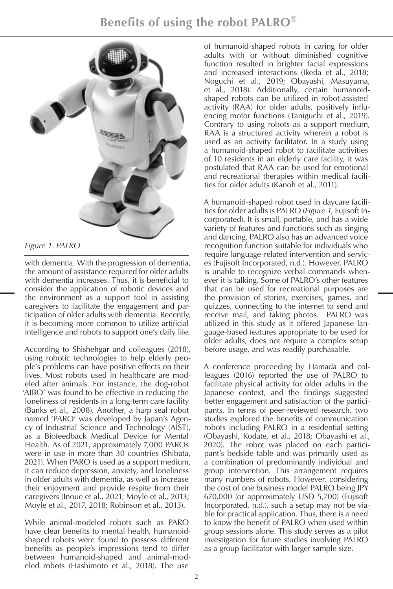

*Figure 1. PALRO*

with dementia. With the progression of dementia, the amount of assistance required for older adults with dementia increases. Thus, it is beneficial to consider the application of robotic devices and the environment as a support tool in assisting caregivers to facilitate the engagement and participation of older adults with dementia. Recently, it is becoming more common to utilize artificial intelligence and robots to support one's daily life.

According to Shishehgar and colleagues (2018), using robotic technologies to help elderly people's problems can have positive effects on their lives. Most robots used in healthcare are modeled after animals. For instance, the dog-robot 'AIBO' was found to be effective in reducing the loneliness of residents in a long-term care facility (Banks et al., 2008). Another, a harp seal robot named 'PARO' was developed by Japan's Agency of Industrial Science and Technology (AIST), as a Biofeedback Medical Device for Mental Health. As of 2021, approximately 7,000 PAROs were in use in more than 30 countries (Shibata, 2021). When PARO is used as a support medium, it can reduce depression, anxiety, and loneliness in older adults with dementia, as well as increase their enjoyment and provide respite from their caregivers (Inoue et al., 2021; Moyle et al., 2013; Moyle et al., 2017, 2018; Robinson et al., 2013).

While animal-modeled robots such as PARO have clear benefits to mental health, humanoidshaped robots were found to possess different benefits as people's impressions tend to differ between humanoid-shaped and animal-modeled robots (Hashimoto et al., 2018). The use

of humanoid-shaped robots in caring for older adults with or without diminished cognitive function resulted in brighter facial expressions and increased interactions (Ikeda et al., 2018; Noguchi et al., 2019; Obayashi, Masuyama, et al., 2018). Additionally, certain humanoidshaped robots can be utilized in robot-assisted activity (RAA) for older adults, positively influencing motor functions (Taniguchi et al., 2019). Contrary to using robots as a support medium, RAA is a structured activity wherein a robot is used as an activity facilitator. In a study using a humanoid-shaped robot to facilitate activities of 10 residents in an elderly care facility, it was postulated that RAA can be used for emotional and recreational therapies within medical facilities for older adults (Kanoh et al., 2011).

A humanoid-shaped robot used in daycare facilities for older adults is PALRO (*Figure 1*, Fujisoft Incorporated). It is small, portable, and has a wide variety of features and functions such as singing and dancing. PALRO also has an advanced voice recognition function suitable for individuals who require language-related intervention and services (Fujisoft Incorporated, n.d.). However, PALRO is unable to recognize verbal commands whenever it is talking. Some of PALRO's other features that can be used for recreational purposes are the provision of stories, exercises, games, and quizzes, connecting to the internet to send and receive mail, and taking photos. PALRO was utilized in this study as it offered Japanese language-based features appropriate to be used for older adults, does not require a complex setup before usage, and was readily purchasable.

A conference proceeding by Hamada and colleagues (2016) reported the use of PALRO to facilitate physical activity for older adults in the Japanese context, and the findings suggested better engagement and satisfaction of the participants. In terms of peer-reviewed research, two studies explored the benefits of communication robots including PALRO in a residential setting (Obayashi, Kodate, et al., 2018; Obayashi et al., 2020). The robot was placed on each participant's bedside table and was primarily used as a combination of predominantly individual and group intervention. This arrangement requires many numbers of robots. However, considering the cost of one business model PALRO being JPY 670,000 (or approximately USD 5,700) (Fujisoft Incorporated, n.d.), such a setup may not be viable for practical application. Thus, there is a need to know the benefit of PALRO when used within group sessions alone. This study serves as a pilot investigation for future studies involving PALRO as a group facilitator with larger sample size.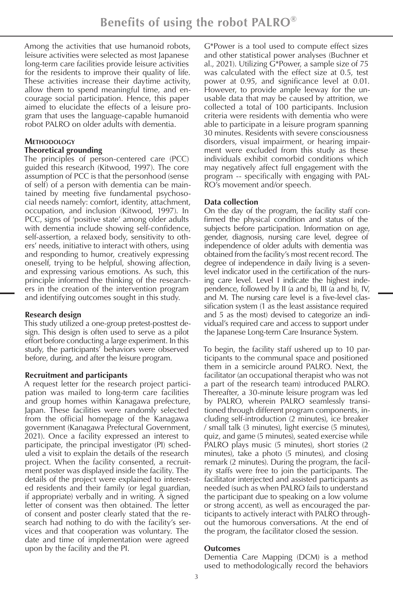Among the activities that use humanoid robots, leisure activities were selected as most Japanese long-term care facilities provide leisure activities for the residents to improve their quality of life. These activities increase their daytime activity, allow them to spend meaningful time, and encourage social participation. Hence, this paper aimed to elucidate the effects of a leisure program that uses the language-capable humanoid robot PALRO on older adults with dementia.

# **METHODOLOGY**

# **Theoretical grounding**

The principles of person-centered care (PCC) guided this research (Kitwood, 1997). The core assumption of PCC is that the personhood (sense of self) of a person with dementia can be maintained by meeting five fundamental psychosocial needs namely: comfort, identity, attachment, occupation, and inclusion (Kitwood, 1997). In PCC, signs of 'positive state' among older adults with dementia include showing self-confidence, self-assertion, a relaxed body, sensitivity to others' needs, initiative to interact with others, using and responding to humor, creatively expressing oneself, trying to be helpful, showing affection, and expressing various emotions. As such, this principle informed the thinking of the researchers in the creation of the intervention program and identifying outcomes sought in this study.

# **Research design**

This study utilized a one-group pretest-posttest design. This design is often used to serve as a pilot effort before conducting a large experiment. In this study, the participants' behaviors were observed before, during, and after the leisure program.

## **Recruitment and participants**

A request letter for the research project participation was mailed to long-term care facilities and group homes within Kanagawa prefecture, Japan. These facilities were randomly selected from the official homepage of the Kanagawa government (Kanagawa Prefectural Government, 2021). Once a facility expressed an interest to participate, the principal investigator (PI) scheduled a visit to explain the details of the research project. When the facility consented, a recruitment poster was displayed inside the facility. The details of the project were explained to interested residents and their family (or legal guardian, if appropriate) verbally and in writing. A signed letter of consent was then obtained. The letter of consent and poster clearly stated that the research had nothing to do with the facility's services and that cooperation was voluntary. The date and time of implementation were agreed upon by the facility and the PI.

G\*Power is a tool used to compute effect sizes and other statistical power analyses (Buchner et al., 2021). Utilizing G\*Power, a sample size of 75 was calculated with the effect size at 0.5, test power at 0.95, and significance level at 0.01. However, to provide ample leeway for the unusable data that may be caused by attrition, we collected a total of 100 participants. Inclusion criteria were residents with dementia who were able to participate in a leisure program spanning 30 minutes. Residents with severe consciousness disorders, visual impairment, or hearing impairment were excluded from this study as these individuals exhibit comorbid conditions which may negatively affect full engagement with the program -- specifically with engaging with PAL-RO's movement and/or speech.

# **Data collection**

On the day of the program, the facility staff confirmed the physical condition and status of the subjects before participation. Information on age, gender, diagnosis, nursing care level, degree of independence of older adults with dementia was obtained from the facility's most recent record. The degree of independence in daily living is a sevenlevel indicator used in the certification of the nursing care level. Level I indicate the highest independence, followed by II (a and b), III (a and b), IV, and M. The nursing care level is a five-level classification system (1 as the least assistance required and 5 as the most) devised to categorize an individual's required care and access to support under the Japanese Long-term Care Insurance System.

To begin, the facility staff ushered up to 10 participants to the communal space and positioned them in a semicircle around PALRO. Next, the facilitator (an occupational therapist who was not a part of the research team) introduced PALRO. Thereafter, a 30-minute leisure program was led by PALRO, wherein PALRO seamlessly transitioned through different program components, including self-introduction (2 minutes), ice breaker / small talk (3 minutes), light exercise (5 minutes), quiz, and game (5 minutes), seated exercise while PALRO plays music (5 minutes), short stories (2 minutes), take a photo (5 minutes), and closing remark (2 minutes). During the program, the facility staffs were free to join the participants. The facilitator interjected and assisted participants as needed (such as when PALRO fails to understand the participant due to speaking on a low volume or strong accent), as well as encouraged the participants to actively interact with PALRO throughout the humorous conversations. At the end of the program, the facilitator closed the session.

## **Outcomes**

Dementia Care Mapping (DCM) is a method used to methodologically record the behaviors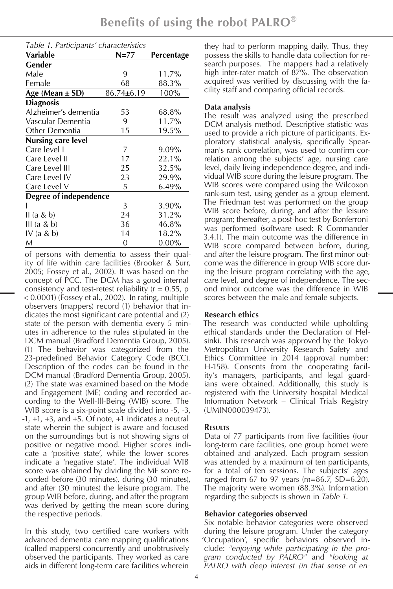| Table 1. Participants' characteristics |                  |            |  |  |  |
|----------------------------------------|------------------|------------|--|--|--|
| Variable                               | N=77             | Percentage |  |  |  |
| Gender                                 |                  |            |  |  |  |
| Male                                   | 9                | 11.7%      |  |  |  |
| Female                                 | 68               | 88.3%      |  |  |  |
| Age (Mean $\pm$ SD)                    | $86.74 \pm 6.19$ | 100%       |  |  |  |
| <b>Diagnosis</b>                       |                  |            |  |  |  |
| Alzheimer's dementia                   | 53               | 68.8%      |  |  |  |
| Vascular Dementia                      | 9                | 11.7%      |  |  |  |
| Other Dementia                         | 15               | 19.5%      |  |  |  |
| <b>Nursing care level</b>              |                  |            |  |  |  |
| Care level I                           | 7                | 9.09%      |  |  |  |
| Care Level II                          | 17               | 22.1%      |  |  |  |
| Care Level III                         | 25               | 32.5%      |  |  |  |
| Care Level IV                          | 23               | 29.9%      |  |  |  |
| Care Level V                           | 5                | 6.49%      |  |  |  |
| Degree of independence                 |                  |            |  |  |  |
|                                        | 3                | 3.90%      |  |  |  |
| II (a & b)                             | 24               | 31.2%      |  |  |  |
| III (a & b)                            | 36               | 46.8%      |  |  |  |
| IV (a $& b)$                           | 14               | 18.2%      |  |  |  |
| M                                      | 0                | $0.00\%$   |  |  |  |

of persons with dementia to assess their quality of life within care facilities (Brooker & Surr, 2005; Fossey et al., 2002). It was based on the concept of PCC. The DCM has a good internal consistency and test-retest reliability  $(r = 0.55, p)$ < 0.0001) (Fossey et al., 2002). In rating, multiple observers (mappers) record (1) behavior that indicates the most significant care potential and (2) state of the person with dementia every 5 minutes in adherence to the rules stipulated in the DCM manual (Bradford Dementia Group, 2005). (1) The behavior was categorized from the 23-predefined Behavior Category Code (BCC). Description of the codes can be found in the DCM manual (Bradford Dementia Group, 2005). (2) The state was examined based on the Mode and Engagement (ME) coding and recorded according to the Well-Ill-Being (WIB) score. The WIB score is a six-point scale divided into -5, -3,  $-1$ ,  $+1$ ,  $+3$ , and  $+5$ . Of note,  $+1$  indicates a neutral state wherein the subject is aware and focused on the surroundings but is not showing signs of positive or negative mood. Higher scores indicate a 'positive state', while the lower scores indicate a 'negative state'. The individual WIB score was obtained by dividing the ME score recorded before (30 minutes), during (30 minutes), and after (30 minutes) the leisure program. The group WIB before, during, and after the program was derived by getting the mean score during the respective periods.

In this study, two certified care workers with advanced dementia care mapping qualifications (called mappers) concurrently and unobtrusively observed the participants. They worked as care aids in different long-term care facilities wherein

they had to perform mapping daily. Thus, they possess the skills to handle data collection for research purposes. The mappers had a relatively high inter-rater match of 87%. The observation acquired was verified by discussing with the facility staff and comparing official records.

# **Data analysis**

The result was analyzed using the prescribed DCM analysis method. Descriptive statistic was used to provide a rich picture of participants. Exploratory statistical analysis, specifically Spearman's rank correlation, was used to confirm correlation among the subjects' age, nursing care level, daily living independence degree, and individual WIB score during the leisure program. The WIB scores were compared using the Wilcoxon rank-sum test, using gender as a group element. The Friedman test was performed on the group WIB score before, during, and after the leisure program; thereafter, a post-hoc test by Bonferroni was performed (software used: R Commander 3.4.1). The main outcome was the difference in WIB score compared between before, during, and after the leisure program. The first minor outcome was the difference in group WIB score during the leisure program correlating with the age, care level, and degree of independence. The second minor outcome was the difference in WIB scores between the male and female subjects.

# **Research ethics**

The research was conducted while upholding ethical standards under the Declaration of Helsinki. This research was approved by the Tokyo Metropolitan University Research Safety and Ethics Committee in 2014 (approval number: H-158). Consents from the cooperating facility's managers, participants, and legal guardians were obtained. Additionally, this study is registered with the University hospital Medical Information Network – Clinical Trials Registry (UMIN000039473).

# **Results**

Data of 77 participants from five facilities (four long-term care facilities, one group home) were obtained and analyzed. Each program session was attended by a maximum of ten participants, for a total of ten sessions. The subjects' ages ranged from 67 to 97 years (m=86.7, SD=6.20). The majority were women (88.3%). Information regarding the subjects is shown in *Table 1*.

# **Behavior categories observed**

Six notable behavior categories were observed during the leisure program. Under the category 'Occupation', specific behaviors observed include: *"enjoying while participating in the program conducted by PALRO"* and *"looking at PALRO with deep interest (in that sense of en-*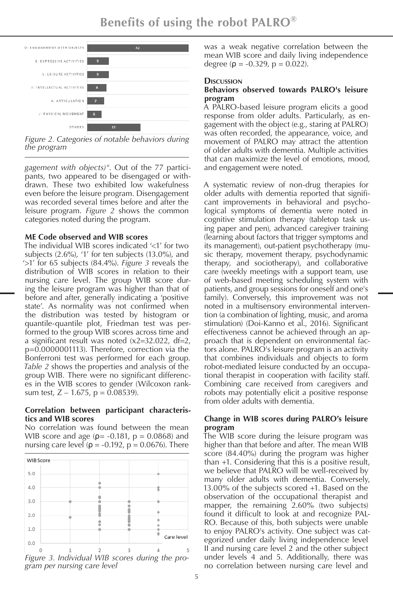**Benefits of using the robot PALRO®**



*Figure 2. Categories of notable behaviors during the program*

*gagement with objects)"*. Out of the 77 participants, two appeared to be disengaged or withdrawn. These two exhibited low wakefulness even before the leisure program. Disengagement was recorded several times before and after the leisure program. *Figure 2* shows the common categories noted during the program.

#### **ME Code observed and WIB scores**

The individual WIB scores indicated '<1' for two subjects (2.6%), '1' for ten subjects (13.0%), and '>1' for 65 subjects (84.4%). *Figure 3* reveals the distribution of WIB scores in relation to their nursing care level. The group WIB score during the leisure program was higher than that of before and after, generally indicating a 'positive state'. As normality was not confirmed when the distribution was tested by histogram or quantile-quantile plot, Friedman test was performed to the group WIB scores across time and a significant result was noted (x2=32.022, df=2, p=0.0000001113). Therefore, correction via the Bonferroni test was performed for each group. *Table 2* shows the properties and analysis of the group WIB. There were no significant differences in the WIB scores to gender (Wilcoxon ranksum test,  $Z - 1.675$ ,  $p = 0.08539$ ).

## **Correlation between participant characteristics and WIB scores**

No correlation was found between the mean WIB score and age ( $\rho$  = -0.181,  $p$  = 0.0868) and nursing care level ( $\rho = -0.192$ ,  $p = 0.0676$ ). There



*Figure 3. Individual WIB scores during the pro- gram per nursing care level*

was a weak negative correlation between the mean WIB score and daily living independence degree ( $\rho = -0.329$ ,  $p = 0.022$ ).

### **Discussion**

#### **Behaviors observed towards PALRO's leisure program**

A PALRO-based leisure program elicits a good response from older adults. Particularly, as engagement with the object (e.g., staring at PALRO) was often recorded, the appearance, voice, and movement of PALRO may attract the attention of older adults with dementia. Multiple activities that can maximize the level of emotions, mood, and engagement were noted.

A systematic review of non-drug therapies for older adults with dementia reported that significant improvements in behavioral and psychological symptoms of dementia were noted in cognitive stimulation therapy (tabletop task using paper and pen), advanced caregiver training (learning about factors that trigger symptoms and its management), out-patient psychotherapy (music therapy, movement therapy, psychodynamic therapy, and sociotherapy), and collaborative care (weekly meetings with a support team, use of web-based meeting scheduling system with patients, and group sessions for oneself and one's family). Conversely, this improvement was not noted in a multisensory environmental intervention (a combination of lighting, music, and aroma stimulation) (Doi-Kanno et al., 2016). Significant effectiveness cannot be achieved through an approach that is dependent on environmental factors alone. PALRO's leisure program is an activity that combines individuals and objects to form robot-mediated leisure conducted by an occupational therapist in cooperation with facility staff. Combining care received from caregivers and robots may potentially elicit a positive response from older adults with dementia.

## **Change in WIB scores during PALRO's leisure program**

The WIB score during the leisure program was higher than that before and after. The mean WIB score (84.40%) during the program was higher than +1. Considering that this is a positive result, we believe that PALRO will be well-received by many older adults with dementia. Conversely, 13.00% of the subjects scored +1. Based on the observation of the occupational therapist and mapper, the remaining 2.60% (two subjects) found it difficult to look at and recognize PAL-RO. Because of this, both subjects were unable to enjoy PALRO's activity. One subject was categorized under daily living independence level II and nursing care level 2 and the other subject under levels 4 and 5. Additionally, there was no correlation between nursing care level and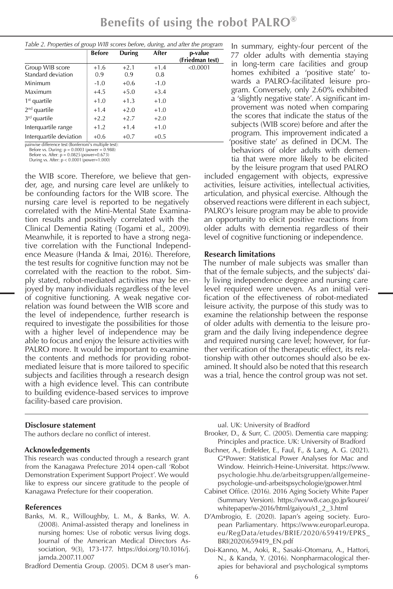|                         | <b>Before</b> | During | After  | p-value         |
|-------------------------|---------------|--------|--------|-----------------|
|                         |               |        |        | (Friedman test) |
| Group WIB score         | $+1.6$        | $+2.1$ | $+1.4$ | < 0.0001        |
| Standard deviation      | 0.9           | 0.9    | 0.8    |                 |
| Minimum                 | $-1.0$        | $+0.6$ | $-1.0$ |                 |
| Maximum                 | $+4.5$        | $+5.0$ | $+3.4$ |                 |
| $1st$ quartile          | $+1.0$        | $+1.3$ | $+1.0$ |                 |
| $2nd$ quartile          | $+1.4$        | $+2.0$ | $+1.0$ |                 |
| $3rd$ quartile          | $+2.2$        | $+2.7$ | $+2.0$ |                 |
| Interquartile range     | $+1.2$        | $+1.4$ | $+1.0$ |                 |
| Interquartile deviation | $+0.6$        | $+0.7$ | $+0.5$ |                 |

airwise difference test (Bonferroni's multiple test<br>Before vs. During:  $p = 0.0003$  (power = 0.988)<br>Before vs. After:  $p = 0.0825$  (power=0.673)

During vs. After: p < 0.0001 (power=1.000)

the WIB score. Therefore, we believe that gender, age, and nursing care level are unlikely to be confounding factors for the WIB score. The nursing care level is reported to be negatively correlated with the Mini-Mental State Examination results and positively correlated with the Clinical Dementia Rating (Togami et al., 2009). Meanwhile, it is reported to have a strong negative correlation with the Functional Independence Measure (Handa & Imai, 2016). Therefore, the test results for cognitive function may not be correlated with the reaction to the robot. Simply stated, robot-mediated activities may be enjoyed by many individuals regardless of the level of cognitive functioning. A weak negative correlation was found between the WIB score and the level of independence, further research is required to investigate the possibilities for those with a higher level of independence may be able to focus and enjoy the leisure activities with PALRO more. It would be important to examine the contents and methods for providing robotmediated leisure that is more tailored to specific subjects and facilities through a research design with a high evidence level. This can contribute to building evidence-based services to improve facility-based care provision.

#### **Disclosure statement**

The authors declare no conflict of interest.

#### **Acknowledgements**

This research was conducted through a research grant from the Kanagawa Prefecture 2014 open-call 'Robot Demonstration Experiment Support Project'. We would like to express our sincere gratitude to the people of Kanagawa Prefecture for their cooperation.

#### **References**

Banks, M. R., Willoughby, L. M., & Banks, W. A. (2008). Animal-assisted therapy and loneliness in nursing homes: Use of robotic versus living dogs. Journal of the American Medical Directors Association, 9(3), 173-177. https://doi.org/10.1016/j. jamda.2007.11.007

Bradford Dementia Group. (2005). DCM 8 user's man-

In summary, eighty-four percent of the 77 older adults with dementia staying in long-term care facilities and group homes exhibited a 'positive state' towards a PALRO-facilitated leisure program. Conversely, only 2.60% exhibited a 'slightly negative state'. A significant improvement was noted when comparing the scores that indicate the status of the subjects (WIB score) before and after the program. This improvement indicated a 'positive state' as defined in DCM. The behaviors of older adults with dementia that were more likely to be elicited by the leisure program that used PALRO

included engagement with objects, expressive activities, leisure activities, intellectual activities, articulation, and physical exercise. Although the observed reactions were different in each subject, PALRO's leisure program may be able to provide an opportunity to elicit positive reactions from older adults with dementia regardless of their level of cognitive functioning or independence.

#### **Research limitations**

The number of male subjects was smaller than that of the female subjects, and the subjects' daily living independence degree and nursing care level required were uneven. As an initial verification of the effectiveness of robot-mediated leisure activity, the purpose of this study was to examine the relationship between the response of older adults with dementia to the leisure program and the daily living independence degree and required nursing care level; however, for further verification of the therapeutic effect, its relationship with other outcomes should also be examined. It should also be noted that this research was a trial, hence the control group was not set.

ual. UK: University of Bradford

Brooker, D., & Surr, C. (2005). Dementia care mapping: Principles and practice. UK: University of Bradford

- Buchner, A., Erdfelder, E., Faul, F., & Lang, A. G. (2021). G\*Power: Statistical Power Analyses for Mac and Window. Heinrich-Heine-Universitat. https://www. psychologie.hhu.de/arbeitsgruppen/allgemeinepsychologie-und-arbeitspsychologie/gpower.html
- Cabinet Office. (2016). 2016 Aging Society White Paper (Summary Version). https://www8.cao.go.jp/kourei/ whitepaper/w-2016/html/gaiyou/s1\_2\_3.html
- D'Ambrogio, E. (2020). Japan's ageing society. European Parliamentary. https://www.europarl.europa. eu/RegData/etudes/BRIE/2020/659419/EPRS\_ BRI(2020)659419\_EN.pdf
- Doi-Kanno, M., Aoki, R., Sasaki-Otomaru, A., Hattori, N., & Kanda, Y. (2016). Nonpharmacological therapies for behavioral and psychological symptoms